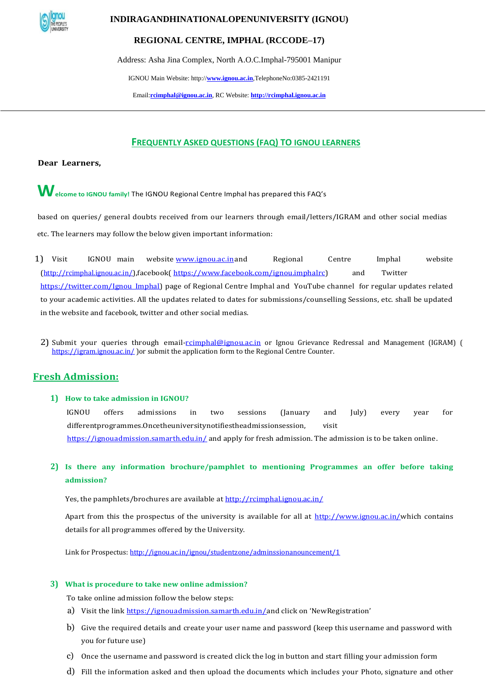

# **INDIRAGANDHINATIONALOPENUNIVERSITY (IGNOU)**

# **REGIONAL CENTRE, IMPHAL (RCCODE–17)**

Address: Asha Jina Complex, North A.O.C.Imphal-795001 Manipur

[IG](http://rcimphal.ignou.ac.in/)NOU Main Website: http://**[www.ignou.ac.in](http://www.ignou.ac.in/)**[,Te](http://www.ignou.ac.in/)lephoneNo:0385-2421191

Email:**[rcimphal@ignou.ac.in](mailto:rcimphal@ignou.ac.in)**[,](mailto:rcimphal@ignou.ac.in) [RC](mailto:rcimphal@ignou.ac.in) Website: **[http://rcimphal.ignou.ac.in](http://rcimphal.ignou.ac.in/)**

# **FREQUENTLY ASKED QUESTIONS (FAQ) TO IGNOU LEARNERS**

**Dear Learners,**

**Welcome to IGNOU family!** The IGNOU Regional Centre Imphal has prepared this FAQ's

based on queries/ general doubts received from our learners through email/letters/IGRAM and other social medias etc. The learners may follow the below given important information:

1) Visit IGNOU main website [www.ignou.ac.ina](http://www.ignou.ac.in/)nd Regional Centre Imphal website [\(](http://rcmumbai.ignou.ac.in/)<http://rcimphal.ignou.ac.in/>[\),f](http://rcmumbai.ignou.ac.in/)acebook[\( https://www.facebook.com/ignou.imphalrc\)](https://www.facebook.com/ignou.imphalrc) and Twitter [https://twitter.com/Ignou\\_Imphal\)](https://twitter.com/Ignou_Imphal) page of Regional Centre Imphal and YouTube channel for regular updates related to your academic activities. All the updates related to dates for submissions/counselling Sessions, etc. shall be updated in the website and facebook, twitter and other social medias.

2) Submit your queries through email[-rcimphal@ignou.ac.in](mailto:rcimphal@ignou.ac.in) or Ignou Grievance Redressal and Management (IGRAM) ( <https://igram.ignou.ac.in/> ) or submit the application form to the Regional Centre Counter.

# **Fresh Admission:**

**1) How to take admission in IGNOU?**

IGNOU offers admissions in two sessions (January and July) every year for differentprogrammes.Oncetheuniversitynotifiestheadmissionsession, visit <https://ignouadmission.samarth.edu.in/> and apply for fresh admission. The admission is to be taken online.

**2) Is there any information brochure/pamphlet to mentioning Programmes an offer before taking admission?**

Yes, the pamphlets/brochures are available at<http://rcimphal.ignou.ac.in/>

Apart from this the prospectus of the university is available for all at [http://www.ignou.ac.in/w](http://www.ignou.ac.in/)hich contains details for all programmes offered by the University.

Link for Prospectus: <http://ignou.ac.in/ignou/studentzone/adminssionanouncement/1>

#### **3) What is procedure to take new online admission?**

To take online admission follow the below steps:

- a) Visit the link<https://ignouadmission.samarth.edu.in/>and click on 'NewRegistration'
- b) Give the required details and create your user name and password (keep this username and password with you for future use)
- c) Once the username and password is created click the log in button and start filling your admission form
- d) Fill the information asked and then upload the documents which includes your Photo, signature and other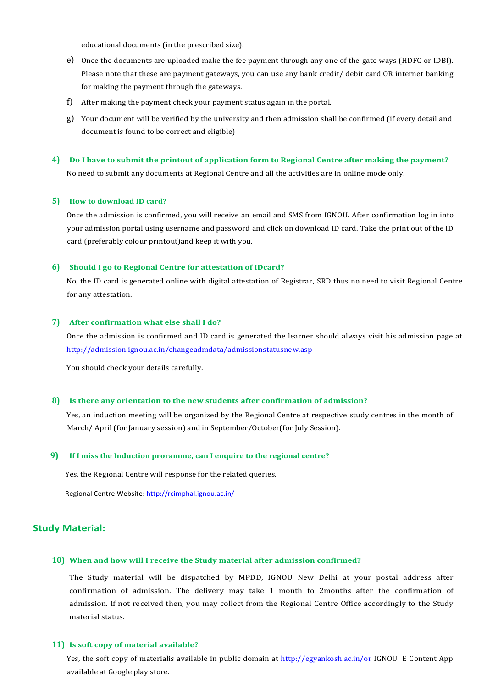educational documents (in the prescribed size).

- e) Once the documents are uploaded make the fee payment through any one of the gate ways (HDFC or IDBI). Please note that these are payment gateways, you can use any bank credit/ debit card OR internet banking for making the payment through the gateways.
- f) After making the payment check your payment status again in the portal.
- g) Your document will be verified by the university and then admission shall be confirmed (if every detail and document is found to be correct and eligible)

# **4) Do I have to submit the printout of application form to Regional Centre after making the payment?** No need to submit any documents at Regional Centre and all the activities are in online mode only.

### **5) How to download ID card?**

Once the admission is confirmed, you will receive an email and SMS from IGNOU. After confirmation log in into your admission portal using username and password and click on download ID card. Take the print out of the ID card (preferably colour printout)and keep it with you.

### **6) Should I go to Regional Centre for attestation of IDcard?**

No, the ID card is generated online with digital attestation of Registrar, SRD thus no need to visit Regional Centre for any attestation.

### **7) After confirmation what else shall I do?**

Once the admission is confirmed and ID card is generated the learner should always visit his admission page at <http://admission.ignou.ac.in/changeadmdata/admissionstatusnew.asp>

You should check your details carefully.

### **8) Is there any orientation to the new students after confirmation of admission?**

Yes, an induction meeting will be organized by the Regional Centre at respective study centres in the month of March/ April (for January session) and in September/October(for July Session).

### **9) If I miss the Induction proramme, can I enquire to the regional centre?**

Yes, the Regional Centre will response for the related queries.

Regional Centre Website: <http://rcimphal.ignou.ac.in/>

### **Study Material:**

## **10) When and how will I receive the Study material after admission confirmed?**

The Study material will be dispatched by MPDD, IGNOU New Delhi at your postal address after confirmation of admission. The delivery may take 1 month to 2months after the confirmation of admission. If not received then, you may collect from the Regional Centre Office accordingly to the Study material status.

### **11) Is soft copy of material available?**

Yes, the soft copy of materialis available in public domain at <http://egyankosh.ac.in/or> IGNOU E Content App available at Google play store.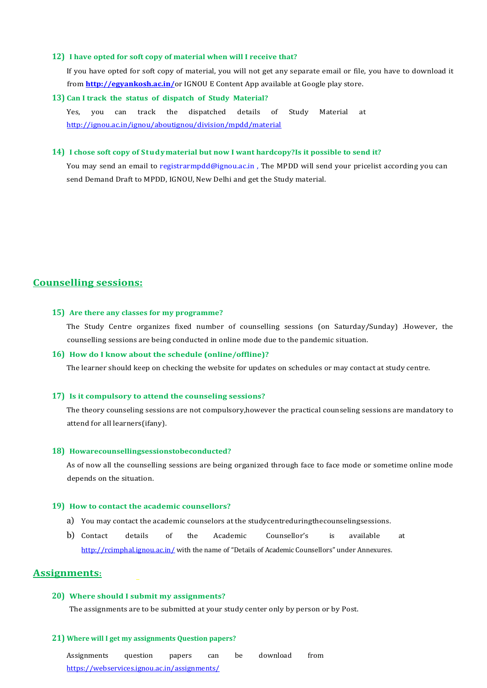### **12) I have opted for soft copy of material when will I receive that?**

If you have opted for soft copy of material, you will not get any separate email or file, you have to download it from **<http://egyankosh.ac.in/>**or IGNOU E Content App available at Google play store.

### **13) Can I track the status of dispatch of Study Material?**

Yes, you can track the dispatched details of Study Material at <http://ignou.ac.in/ignou/aboutignou/division/mpdd/material>

## **14) I chose soft copy of Studymaterial but now I want hardcopy?Is it possible to send it?**

You may send an email to registrarmpdd@ignou.ac.in, The MPDD will send your pricelist according you can send Demand Draft to MPDD, IGNOU, New Delhi and get the Study material.

# **Counselling sessions:**

### **15) Are there any classes for my programme?**

The Study Centre organizes fixed number of counselling sessions (on Saturday/Sunday) .However, the counselling sessions are being conducted in online mode due to the pandemic situation.

### **16) How do I know about the schedule (online/offline)?**

The learner should keep on checking the website for updates on schedules or may contact at study centre.

### **17) Is it compulsory to attend the counseling sessions?**

The theory counseling sessions are not compulsory,however the practical counseling sessions are mandatory to attend for all learners(ifany).

### **18) Howarecounsellingsessionstobeconducted?**

As of now all the counselling sessions are being organized through face to face mode or sometime online mode depends on the situation.

### **19) How to contact the academic counsellors?**

- a) You may contact the academic counselors at the studycentreduringthecounselingsessions.
- b) Contact details of the Academic Counsellor's is available at <http://rcimphal.ignou.ac.in/> with the name of "Details of Academic Counsellors" under Annexures.

# **Assignments:**

### **20) Where should I submit my assignments?**

The assignments are to be submitted at your study center only by person or by Post.

### **21) Where will I get my assignments Question papers?**

Assignments question papers can be download from <https://webservices.ignou.ac.in/assignments/>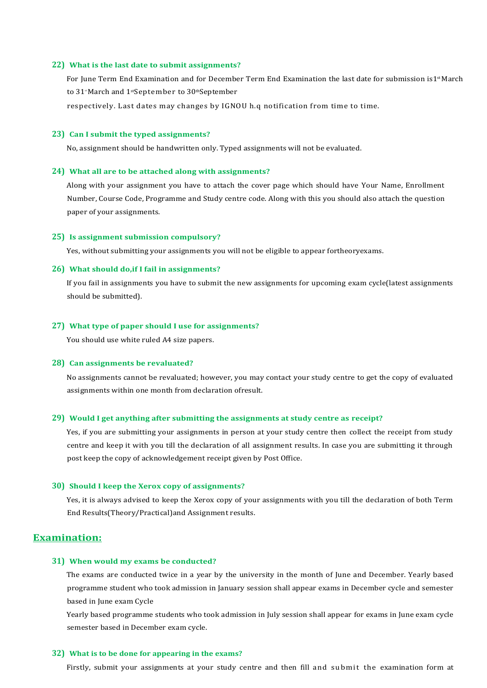#### **22) What is the last date to submit assignments?**

For June Term End Examination and for December Term End Examination the last date for submission is1<sup>st</sup>March to 31<sup>®</sup> March and 1<sup>st</sup>September to 30<sup>th</sup>September

respectively. Last dates may changes by IGNOU h.q notification from time to time.

### **23) Can I submit the typed assignments?**

No, assignment should be handwritten only. Typed assignments will not be evaluated.

#### **24) What all are to be attached along with assignments?**

Along with your assignment you have to attach the cover page which should have Your Name, Enrollment Number, Course Code, Programme and Study centre code. Along with this you should also attach the question paper of your assignments.

#### **25) Is assignment submission compulsory?**

Yes, without submitting your assignments you will not be eligible to appear fortheoryexams.

### **26) What should do,if I fail in assignments?**

If you fail in assignments you have to submit the new assignments for upcoming exam cycle(latest assignments should be submitted).

### **27) What type of paper should I use for assignments?**

You should use white ruled A4 size papers.

### **28) Can assignments be revaluated?**

No assignments cannot be revaluated; however, you may contact your study centre to get the copy of evaluated assignments within one month from declaration ofresult.

#### **29) Would I get anything after submitting the assignments at study centre as receipt?**

Yes, if you are submitting your assignments in person at your study centre then collect the receipt from study centre and keep it with you till the declaration of all assignment results. In case you are submitting it through post keep the copy of acknowledgement receipt given by Post Office.

### **30) Should I keep the Xerox copy of assignments?**

Yes, it is always advised to keep the Xerox copy of your assignments with you till the declaration of both Term End Results(Theory/Practical)and Assignment results.

# **Examination:**

### **31) When would my exams be conducted?**

The exams are conducted twice in a year by the university in the month of June and December. Yearly based programme student who took admission in January session shall appear exams in December cycle and semester based in June exam Cycle

Yearly based programme students who took admission in July session shall appear for exams in June exam cycle semester based in December exam cycle.

### **32) What is to be done for appearing in the exams?**

Firstly, submit your assignments at your study centre and then fill and submit the examination form at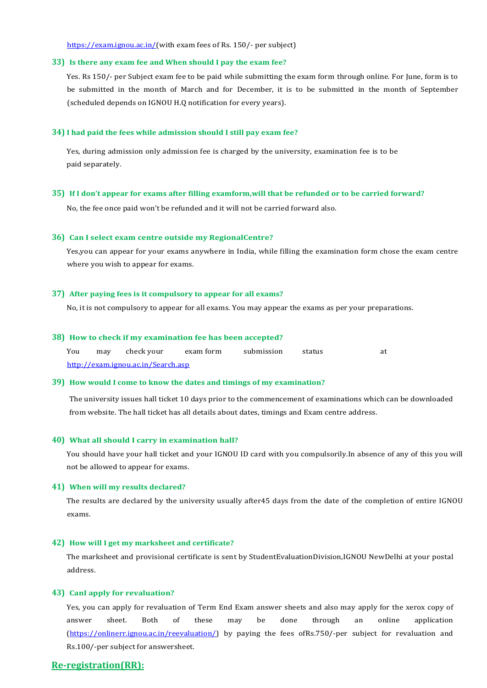[https://exam.ignou.ac.in/\(](https://exam.ignou.ac.in/)with exam fees of Rs. 150/- per subject)

### **33) Is there any exam fee and When should I pay the exam fee?**

Yes. Rs 150/- per Subject exam fee to be paid while submitting the exam form through online. For June, form is to be submitted in the month of March and for December, it is to be submitted in the month of September (scheduled depends on IGNOU H.Q notification for every years).

#### **34) I had paid the fees while admission should I still pay exam fee?**

Yes, during admission only admission fee is charged by the university, examination fee is to be paid separately.

### **35) If I don't appear for exams after filling examform,will that be refunded or to be carried forward?**

No, the fee once paid won't be refunded and it will not be carried forward also.

### **36) Can I select exam centre outside my RegionalCentre?**

Yes,you can appear for your exams anywhere in India, while filling the examination form chose the exam centre where you wish to appear for exams.

### **37) After paying fees is it compulsory to appear for all exams?**

No, it is not compulsory to appear for all exams. You may appear the exams as per your preparations.

### **38) How to check if my examination fee has been accepted?**

| You                                | may | check vour | exam form | submission | status | at |
|------------------------------------|-----|------------|-----------|------------|--------|----|
| http://exam.ignou.ac.in/Search.asp |     |            |           |            |        |    |

### **39) How would I come to know the dates and timings of my examination?**

The university issues hall ticket 10 days prior to the commencement of examinations which can be downloaded from website. The hall ticket has all details about dates, timings and Exam centre address.

### **40) What all should I carry in examination hall?**

You should have your hall ticket and your IGNOU ID card with you compulsorily.In absence of any of this you will not be allowed to appear for exams.

### **41) When will my results declared?**

The results are declared by the university usually after45 days from the date of the completion of entire IGNOU exams.

### **42) How will I get my marksheet and certificate?**

The marksheet and provisional certificate is sent by StudentEvaluationDivision,IGNOU NewDelhi at your postal address.

### **43) CanI apply for revaluation?**

Yes, you can apply for revaluation of Term End Exam answer sheets and also may apply for the xerox copy of answer sheet. Both of these may be done through an online application [\(https://onlinerr.ignou.ac.in/reevaluation/\) b](https://onlinerr.ignou.ac.in/reevaluation/)y paying the fees ofRs.750/-per subject for revaluation and Rs.100/-per subject for answersheet.

# **Re-registration(RR):**